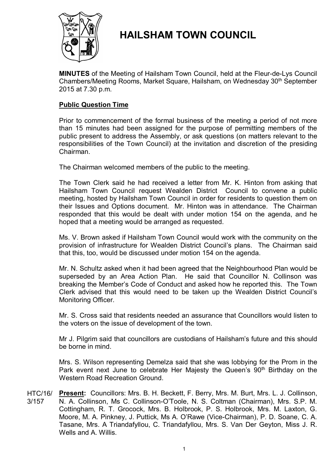

# **HAILSHAM TOWN COUNCIL**

**MINUTES** of the Meeting of Hailsham Town Council, held at the Fleur-de-Lys Council Chambers/Meeting Rooms, Market Square, Hailsham, on Wednesday 30<sup>th</sup> September 2015 at 7.30 p.m.

# **Public Question Time**

Prior to commencement of the formal business of the meeting a period of not more than 15 minutes had been assigned for the purpose of permitting members of the public present to address the Assembly, or ask questions (on matters relevant to the responsibilities of the Town Council) at the invitation and discretion of the presiding Chairman.

The Chairman welcomed members of the public to the meeting.

The Town Clerk said he had received a letter from Mr. K. Hinton from asking that Hailsham Town Council request Wealden District Council to convene a public meeting, hosted by Hailsham Town Council in order for residents to question them on their Issues and Options document. Mr. Hinton was in attendance. The Chairman responded that this would be dealt with under motion 154 on the agenda, and he hoped that a meeting would be arranged as requested.

Ms. V. Brown asked if Hailsham Town Council would work with the community on the provision of infrastructure for Wealden District Council's plans. The Chairman said that this, too, would be discussed under motion 154 on the agenda.

Mr. N. Schultz asked when it had been agreed that the Neighbourhood Plan would be superseded by an Area Action Plan. He said that Councillor N. Collinson was breaking the Member's Code of Conduct and asked how he reported this. The Town Clerk advised that this would need to be taken up the Wealden District Council's Monitoring Officer.

Mr. S. Cross said that residents needed an assurance that Councillors would listen to the voters on the issue of development of the town.

Mr J. Pilgrim said that councillors are custodians of Hailsham's future and this should be borne in mind.

Mrs. S. Wilson representing Demelza said that she was lobbying for the Prom in the Park event next June to celebrate Her Majesty the Queen's 90<sup>th</sup> Birthday on the Western Road Recreation Ground.

HTC/16/ 3/157 Present: Councillors: Mrs. B. H. Beckett, F. Berry, Mrs. M. Burt, Mrs. L. J. Collinson, N. A. Collinson, Ms C. Collinson-O'Toole, N. S. Coltman (Chairman), Mrs. S.P. M. Cottingham, R. T. Grocock, Mrs. B. Holbrook, P. S. Holbrook, Mrs. M. Laxton, G. Moore, M. A. Pinkney, J. Puttick, Ms A. O'Rawe (Vice-Chairman), P. D. Soane, C. A. Tasane, Mrs. A Triandafyllou, C. Triandafyllou, Mrs. S. Van Der Geyton, Miss J. R. Wells and A. Willis.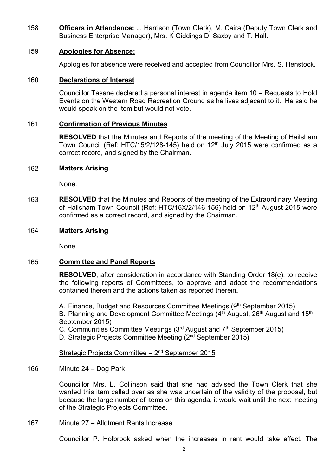158 **Officers in Attendance:** J. Harrison (Town Clerk), M. Caira (Deputy Town Clerk and Business Enterprise Manager), Mrs. K Giddings D. Saxby and T. Hall.

# 159 **Apologies for Absence:**

Apologies for absence were received and accepted from Councillor Mrs. S. Henstock.

# 160 **Declarations of Interest**

Councillor Tasane declared a personal interest in agenda item 10 – Requests to Hold Events on the Western Road Recreation Ground as he lives adjacent to it. He said he would speak on the item but would not vote.

# 161 **Confirmation of Previous Minutes**

**RESOLVED** that the Minutes and Reports of the meeting of the Meeting of Hailsham Town Council (Ref: HTC/15/2/128-145) held on 12<sup>th</sup> July 2015 were confirmed as a correct record, and signed by the Chairman.

# 162 **Matters Arising**

None.

163 **RESOLVED** that the Minutes and Reports of the meeting of the Extraordinary Meeting of Hailsham Town Council (Ref: HTC/15X/2/146-156) held on 12<sup>th</sup> August 2015 were confirmed as a correct record, and signed by the Chairman.

# 164 **Matters Arising**

None.

# 165 **Committee and Panel Reports**

**RESOLVED**, after consideration in accordance with Standing Order 18(e), to receive the following reports of Committees, to approve and adopt the recommendations contained therein and the actions taken as reported therein**.**

A. Finance, Budget and Resources Committee Meetings (9th September 2015) B. Planning and Development Committee Meetings  $(4<sup>th</sup>$  August, 26<sup>th</sup> August and 15<sup>th</sup> September 2015)

C. Communities Committee Meetings  $(3<sup>rd</sup>$  August and  $7<sup>th</sup>$  September 2015)

D. Strategic Projects Committee Meeting (2<sup>nd</sup> September 2015)

# Strategic Projects Committee - 2<sup>nd</sup> September 2015

166 Minute 24 – Dog Park

> Councillor Mrs. L. Collinson said that she had advised the Town Clerk that she wanted this item called over as she was uncertain of the validity of the proposal, but because the large number of items on this agenda, it would wait until the next meeting of the Strategic Projects Committee.

167 Minute 27 – Allotment Rents Increase

Councillor P. Holbrook asked when the increases in rent would take effect. The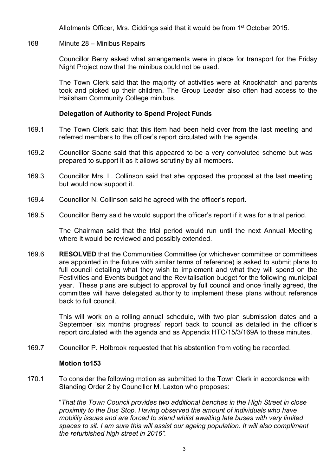Allotments Officer, Mrs. Giddings said that it would be from 1st October 2015.

#### 168 Minute 28 – Minibus Repairs

Councillor Berry asked what arrangements were in place for transport for the Friday Night Project now that the minibus could not be used.

The Town Clerk said that the majority of activities were at Knockhatch and parents took and picked up their children. The Group Leader also often had access to the Hailsham Community College minibus.

#### **Delegation of Authority to Spend Project Funds**

- 169.1 The Town Clerk said that this item had been held over from the last meeting and referred members to the officer's report circulated with the agenda.
- 169.2 Councillor Soane said that this appeared to be a very convoluted scheme but was prepared to support it as it allows scrutiny by all members.
- 169.3 Councillor Mrs. L. Collinson said that she opposed the proposal at the last meeting but would now support it.
- 169.4 Councillor N. Collinson said he agreed with the officer's report.
- 169.5 Councillor Berry said he would support the officer's report if it was for a trial period.

The Chairman said that the trial period would run until the next Annual Meeting where it would be reviewed and possibly extended.

169.6 **RESOLVED** that the Communities Committee (or whichever committee or committees are appointed in the future with similar terms of reference) is asked to submit plans to full council detailing what they wish to implement and what they will spend on the Festivities and Events budget and the Revitalisation budget for the following municipal year. These plans are subject to approval by full council and once finally agreed, the committee will have delegated authority to implement these plans without reference back to full council.

> This will work on a rolling annual schedule, with two plan submission dates and a September 'six months progress' report back to council as detailed in the officer's report circulated with the agenda and as Appendix HTC/15/3/169A to these minutes.

169.7 Councillor P. Holbrook requested that his abstention from voting be recorded.

#### **Motion to153**

170.1 To consider the following motion as submitted to the Town Clerk in accordance with Standing Order 2 by Councillor M. Laxton who proposes:

> "*That the Town Council provides two additional benches in the High Street in close proximity to the Bus Stop. Having observed the amount of individuals who have mobility issues and are forced to stand whilst awaiting late buses with very limited spaces to sit. I am sure this will assist our ageing population. It will also compliment the refurbished high street in 2016".*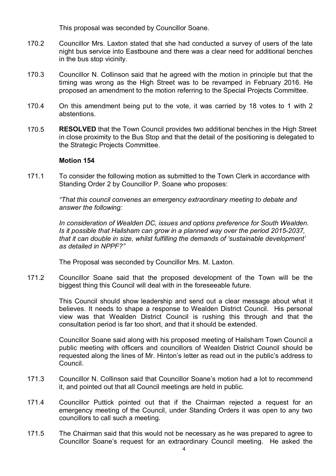This proposal was seconded by Councillor Soane.

- 170.2 Councillor Mrs. Laxton stated that she had conducted a survey of users of the late night bus service into Eastboune and there was a clear need for additional benches in the bus stop vicinity.
- 170.3 Councillor N. Collinson said that he agreed with the motion in principle but that the timing was wrong as the High Street was to be revamped in February 2016. He proposed an amendment to the motion referring to the Special Projects Committee.
- 170.4 On this amendment being put to the vote, it was carried by 18 votes to 1 with 2 abstentions.
- 170.5 **RESOLVED** that the Town Council provides two additional benches in the High Street in close proximity to the Bus Stop and that the detail of the positioning is delegated to the Strategic Projects Committee.

#### **Motion 154**

171.1 To consider the following motion as submitted to the Town Clerk in accordance with Standing Order 2 by Councillor P. Soane who proposes:

> *"That this council convenes an emergency extraordinary meeting to debate and answer the following:*

*In consideration of Wealden DC, issues and options preference for South Wealden. Is it possible that Hailsham can grow in a planned way over the period 2015-2037, that it can double in size, whilst fulfilling the demands of 'sustainable development' as detailed in NPPF?"*

The Proposal was seconded by Councillor Mrs. M. Laxton.

171.2 Councillor Soane said that the proposed development of the Town will be the biggest thing this Council will deal with in the foreseeable future.

> This Council should show leadership and send out a clear message about what it believes. It needs to shape a response to Wealden District Council. His personal view was that Wealden District Council is rushing this through and that the consultation period is far too short, and that it should be extended.

> Councillor Soane said along with his proposed meeting of Hailsham Town Council a public meeting with officers and councillors of Wealden District Council should be requested along the lines of Mr. Hinton's letter as read out in the public's address to Council.

- 171.3 Councillor N. Collinson said that Councillor Soane's motion had a lot to recommend it, and pointed out that all Council meetings are held in public.
- 171.4 Councillor Puttick pointed out that if the Chairman rejected a request for an emergency meeting of the Council, under Standing Orders it was open to any two councillors to call such a meeting.
- 171.5 The Chairman said that this would not be necessary as he was prepared to agree to Councillor Soane's request for an extraordinary Council meeting. He asked the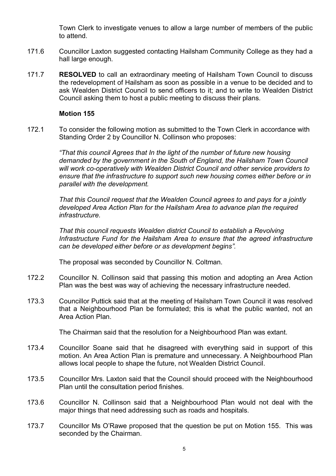Town Clerk to investigate venues to allow a large number of members of the public to attend.

- 171.6 Councillor Laxton suggested contacting Hailsham Community College as they had a hall large enough.
- 171.7 **RESOLVED** to call an extraordinary meeting of Hailsham Town Council to discuss the redevelopment of Hailsham as soon as possible in a venue to be decided and to ask Wealden District Council to send officers to it; and to write to Wealden District Council asking them to host a public meeting to discuss their plans.

# **Motion 155**

172.1 To consider the following motion as submitted to the Town Clerk in accordance with Standing Order 2 by Councillor N. Collinson who proposes:

> *"That this council Agrees that In the light of the number of future new housing demanded by the government in the South of England, the Hailsham Town Council will work co-operatively with Wealden District Council and other service providers to ensure that the infrastructure to support such new housing comes either before or in parallel with the development.*

*That this Council request that the Wealden Council agrees to and pays for a jointly developed Area Action Plan for the Hailsham Area to advance plan the required infrastructure.*

*That this council requests Wealden district Council to establish a Revolving Infrastructure Fund for the Hailsham Area to ensure that the agreed infrastructure can be developed either before or as development begins".*

The proposal was seconded by Councillor N. Coltman.

- 172.2 Councillor N. Collinson said that passing this motion and adopting an Area Action Plan was the best was way of achieving the necessary infrastructure needed.
- 173.3 Councillor Puttick said that at the meeting of Hailsham Town Council it was resolved that a Neighbourhood Plan be formulated; this is what the public wanted, not an Area Action Plan.

The Chairman said that the resolution for a Neighbourhood Plan was extant.

- 173.4 Councillor Soane said that he disagreed with everything said in support of this motion. An Area Action Plan is premature and unnecessary. A Neighbourhood Plan allows local people to shape the future, not Wealden District Council.
- 173.5 Councillor Mrs. Laxton said that the Council should proceed with the Neighbourhood Plan until the consultation period finishes.
- 173.6 Councillor N. Collinson said that a Neighbourhood Plan would not deal with the major things that need addressing such as roads and hospitals.
- 173.7 Councillor Ms O'Rawe proposed that the question be put on Motion 155. This was seconded by the Chairman.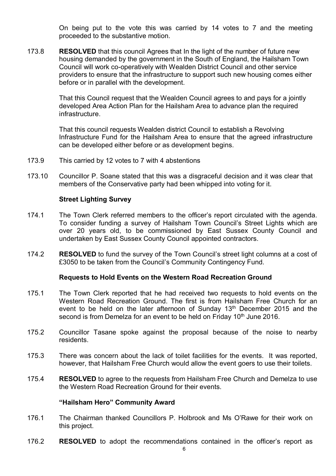On being put to the vote this was carried by 14 votes to 7 and the meeting proceeded to the substantive motion.

173.8 **RESOLVED** that this council Agrees that In the light of the number of future new housing demanded by the government in the South of England, the Hailsham Town Council will work co-operatively with Wealden District Council and other service providers to ensure that the infrastructure to support such new housing comes either before or in parallel with the development.

> That this Council request that the Wealden Council agrees to and pays for a jointly developed Area Action Plan for the Hailsham Area to advance plan the required infrastructure.

That this council requests Wealden district Council to establish a Revolving Infrastructure Fund for the Hailsham Area to ensure that the agreed infrastructure can be developed either before or as development begins.

- 173.9 This carried by 12 votes to 7 with 4 abstentions
- 173.10 Councillor P. Soane stated that this was a disgraceful decision and it was clear that members of the Conservative party had been whipped into voting for it.

#### **Street Lighting Survey**

- 174.1 The Town Clerk referred members to the officer's report circulated with the agenda. To consider funding a survey of Hailsham Town Council's Street Lights which are over 20 years old, to be commissioned by East Sussex County Council and undertaken by East Sussex County Council appointed contractors.
- 174.2 **RESOLVED** to fund the survey of the Town Council's street light columns at a cost of £3050 to be taken from the Council's Community Contingency Fund.

#### **Requests to Hold Events on the Western Road Recreation Ground**

- 175.1 The Town Clerk reported that he had received two requests to hold events on the Western Road Recreation Ground. The first is from Hailsham Free Church for an event to be held on the later afternoon of Sunday 13<sup>th</sup> December 2015 and the second is from Demelza for an event to be held on Friday 10<sup>th</sup> June 2016.
- 175.2 Councillor Tasane spoke against the proposal because of the noise to nearby residents.
- 175.3 There was concern about the lack of toilet facilities for the events. It was reported, however, that Hailsham Free Church would allow the event goers to use their toilets.
- 175.4 **RESOLVED** to agree to the requests from Hailsham Free Church and Demelza to use the Western Road Recreation Ground for their events.

#### **"Hailsham Hero" Community Award**

- 176.1 The Chairman thanked Councillors P. Holbrook and Ms O'Rawe for their work on this project.
- 176.2 **RESOLVED** to adopt the recommendations contained in the officer's report as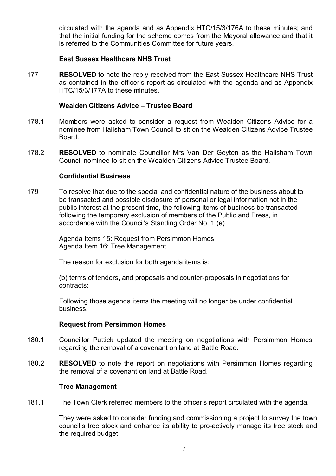circulated with the agenda and as Appendix HTC/15/3/176A to these minutes; and that the initial funding for the scheme comes from the Mayoral allowance and that it is referred to the Communities Committee for future years.

# **East Sussex Healthcare NHS Trust**

177 **RESOLVED** to note the reply received from the East Sussex Healthcare NHS Trust as contained in the officer's report as circulated with the agenda and as Appendix HTC/15/3/177A to these minutes.

#### **Wealden Citizens Advice – Trustee Board**

- 178.1 Members were asked to consider a request from Wealden Citizens Advice for a nominee from Hailsham Town Council to sit on the Wealden Citizens Advice Trustee Board.
- 178.2 **RESOLVED** to nominate Councillor Mrs Van Der Geyten as the Hailsham Town Council nominee to sit on the Wealden Citizens Advice Trustee Board.

#### **Confidential Business**

179 To resolve that due to the special and confidential nature of the business about to be transacted and possible disclosure of personal or legal information not in the public interest at the present time, the following items of business be transacted following the temporary exclusion of members of the Public and Press, in accordance with the Council's Standing Order No. 1 (e)

> Agenda Items 15: Request from Persimmon Homes Agenda Item 16: Tree Management

The reason for exclusion for both agenda items is:

(b) terms of tenders, and proposals and counter-proposals in negotiations for contracts;

Following those agenda items the meeting will no longer be under confidential business.

# **Request from Persimmon Homes**

- 180.1 Councillor Puttick updated the meeting on negotiations with Persimmon Homes regarding the removal of a covenant on land at Battle Road.
- 180.2 **RESOLVED** to note the report on negotiations with Persimmon Homes regarding the removal of a covenant on land at Battle Road.

#### **Tree Management**

181.1 The Town Clerk referred members to the officer's report circulated with the agenda.

> They were asked to consider funding and commissioning a project to survey the town council's tree stock and enhance its ability to pro-actively manage its tree stock and the required budget